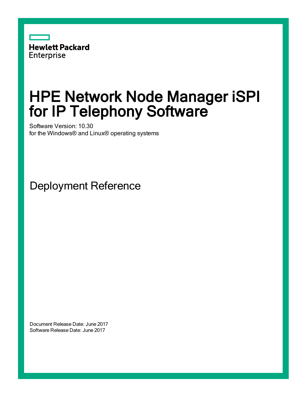

# HPE Network Node Manager iSPI for IP Telephony Software

Software Version: 10.30 for the Windows® and Linux® operating systems

Deployment Reference

Document Release Date: June 2017 Software Release Date: June 2017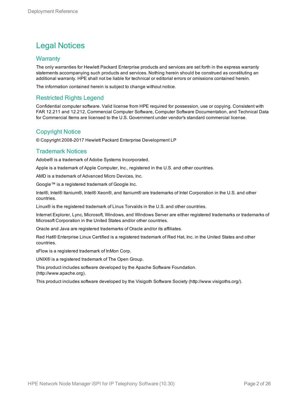### Legal Notices

#### **Warranty**

The only warranties for Hewlett Packard Enterprise products and services are set forth in the express warranty statements accompanying such products and services. Nothing herein should be construed as constituting an additional warranty. HPE shall not be liable for technical or editorial errors or omissions contained herein.

The information contained herein is subject to change without notice.

#### Restricted Rights Legend

Confidential computer software. Valid license from HPE required for possession, use or copying. Consistent with FAR 12.211 and 12.212, Commercial Computer Software, Computer Software Documentation, and Technical Data for Commercial Items are licensed to the U.S. Government under vendor's standard commercial license.

#### Copyright Notice

© Copyright 2008-2017 Hewlett Packard Enterprise Development LP

#### Trademark Notices

Adobe® is a trademark of Adobe Systems Incorporated.

Apple is a trademark of Apple Computer, Inc., registered in the U.S. and other countries.

AMD is a trademark of Advanced Micro Devices, Inc.

Google™ is a registered trademark of Google Inc.

Intel®, Intel® Itanium®, Intel® Xeon®, and Itanium® are trademarks of Intel Corporation in the U.S. and other countries.

Linux® is the registered trademark of Linus Torvalds in the U.S. and other countries.

Internet Explorer, Lync, Microsoft, Windows, and Windows Server are either registered trademarks or trademarks of Microsoft Corporation in the United States and/or other countries.

Oracle and Java are registered trademarks of Oracle and/or its affiliates.

Red Hat® Enterprise Linux Certified is a registered trademark of Red Hat, Inc. in the United States and other countries.

sFlow is a registered trademark of InMon Corp.

UNIX® is a registered trademark of The Open Group.

This product includes software developed by the Apache Software Foundation. (http://www.apache.org).

This product includes software developed by the Visigoth Software Society (http://www.visigoths.org/).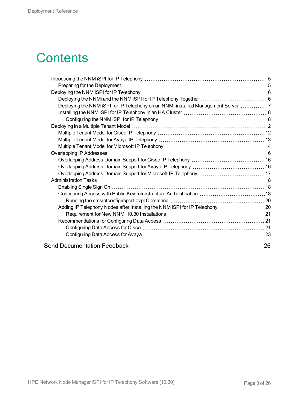# **Contents**

| Deploying the NNM iSPI for IP Telephony on an NNMi-installed Management Server  7 |  |
|-----------------------------------------------------------------------------------|--|
|                                                                                   |  |
|                                                                                   |  |
|                                                                                   |  |
|                                                                                   |  |
|                                                                                   |  |
|                                                                                   |  |
|                                                                                   |  |
|                                                                                   |  |
|                                                                                   |  |
|                                                                                   |  |
|                                                                                   |  |
|                                                                                   |  |
| Configuring Access with Public Key Infrastructure Authentication  18              |  |
|                                                                                   |  |
| Adding IP Telephony Nodes after Installing the NNM iSPI for IP Telephony  20      |  |
|                                                                                   |  |
|                                                                                   |  |
|                                                                                   |  |
|                                                                                   |  |
|                                                                                   |  |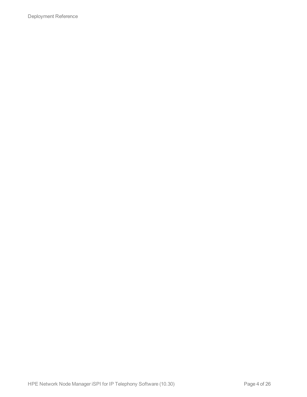Deployment Reference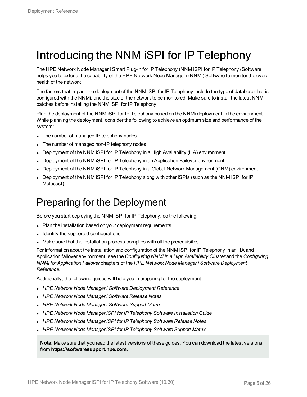## <span id="page-4-0"></span>Introducing the NNM iSPI for IP Telephony

The HPE Network Node Manager i Smart Plug-in for IP Telephony (NNM iSPI for IP Telephony) Software helps you to extend the capability of the HPE Network Node Manager i (NNMi) Software to monitor the overall health of the network.

The factors that impact the deployment of the NNM iSPI for IP Telephony include the type of database that is configured with the NNMi, and the size of the network to be monitored. Make sure to install the latest NNMi patches before installing the NNM iSPI for IP Telephony.

Plan the deployment of the NNM iSPI for IP Telephony based on the NNMi deployment in the environment. While planning the deployment, consider the following to achieve an optimum size and performance of the system:

- The number of managed IP telephony nodes
- The number of managed non-IP telephony nodes
- <sup>l</sup> Deployment of the NNM iSPI for IP Telephony in a High Availability (HA) environment
- Deployment of the NNM iSPI for IP Telephony in an Application Failover environment
- <sup>l</sup> Deployment of the NNM iSPI for IP Telephony in a Global Network Management (GNM) environment
- <span id="page-4-1"></span>• Deployment of the NNM iSPI for IP Telephony along with other iSPIs (such as the NNM iSPI for IP Multicast)

## Preparing for the Deployment

Before you start deploying the NNM iSPI for IP Telephony, do the following:

- Plan the installation based on your deployment requirements
- Identify the supported configurations
- Make sure that the installation process complies with all the prerequisites

For information about the installation and configuration of the NNM iSPI for IP Telephony in an HA and Application failover environment, see the *Configuring NNMi in a High Availability Cluster* and the *Configuring NNMi for Application Failover* chapters of the *HPE Network Node Manager i Software Deployment Reference*.

Additionally, the following guides will help you in preparing for the deployment:

- <sup>l</sup> *HPE Network Node Manager i Software Deployment Reference*
- <sup>l</sup> *HPE Network Node Manager i Software Release Notes*
- <sup>l</sup> *HPE Network Node Manager i Software Support Matrix*
- <sup>l</sup> *HPE Network Node Manager iSPI for IP Telephony Software Installation Guide*
- <sup>l</sup> *HPE Network Node Manager iSPI for IP Telephony Software Release Notes*
- <sup>l</sup> *HPE Network Node Manager iSPI for IP Telephony Software Support Matrix*

**Note**: Make sure that you read the latest versions of these guides. You can download the latest versions from **https://softwaresupport.hpe.com**.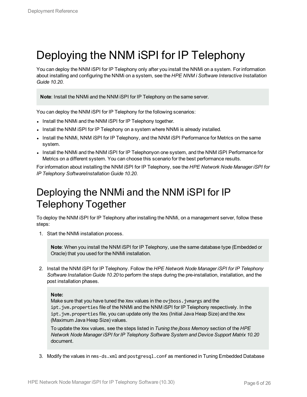# <span id="page-5-0"></span>Deploying the NNM iSPI for IP Telephony

You can deploy the NNM iSPI for IP Telephony only after you install the NNMi on a system. For information about installing and configuring the NNMi on a system, see the *HPE NNM i Software Interactive Installation Guide 10.20*.

**Note**: Install the NNMi and the NNM iSPI for IP Telephony on the same server.

You can deploy the NNM iSPI for IP Telephony for the following scenarios:

- Install the NNMi and the NNM iSPI for IP Telephony together.
- Install the NNM iSPI for IP Telephony on a system where NNMi is already installed.
- Install the NNMi, NNM iSPI for IP Telephony, and the NNM iSPI Performance for Metrics on the same system.
- Install the NNMi and the NNM iSPI for IP Telephonyon one system, and the NNM iSPI Performance for Metrics on a different system. You can choose this scenario for the best performance results.

<span id="page-5-1"></span>For information about installing the NNM iSPI for IP Telephony, see the *HPE Network Node Manager iSPI for IP Telephony SoftwareInstallation Guide 10.20*.

## Deploying the NNMi and the NNM iSPI for IP Telephony Together

To deploy the NNM iSPI for IP Telephony after installing the NNMi, on a management server, follow these steps:

1. Start the NNMi installation process.

**Note**: When you install the NNM iSPI for IP Telephony, use the same database type (Embedded or Oracle) that you used for the NNMi installation.

2. Install the NNM iSPI for IP Telephony. Follow the *HPE Network Node Manager iSPI for IP Telephony Software Installation Guide 10.20* to perform the steps during the pre-installation, installation, and the post installation phases.

#### **Note:**

Make sure that you have tuned the Xmx values in the ovjboss, jymargs and the ipt.jvm.properties file of the NNMi and the NNM iSPI for IP Telephony respectively. In the ipt.jvm.properties file, you can update only the Xms (Initial Java Heap Size) and the Xmx (Maximum Java Heap Size) values.

To update the Xmx values, see the steps listed in *Tuning the jboss Memory* section of the *HPE Network Node Manager iSPI for IP Telephony Software System and Device Support Matrix 10.20* document.

3. Modify the values in nms-ds.xml and postgresql.conf as mentioned in Tuning Embedded Database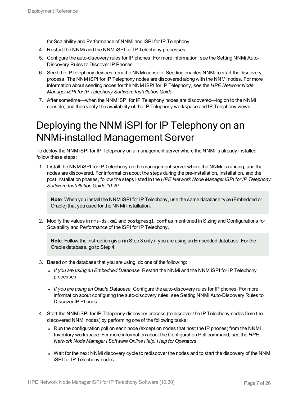for Scalability and Performance of NNMi and iSPI for IP Telephony.

- 4. Restart the NNMi and the NNM iSPI for IP Telephony processes.
- 5. Configure the auto-discovery rules for IP phones. For more information, see the Setting NNMi Auto-Discovery Rules to Discover IP Phones.
- 6. Seed the IP telephony devices from the NNMi console. Seeding enables NNMi to start the discovery process. The NNM iSPI for IP Telephony nodes are discovered along with the NNMi nodes. For more information about seeding nodes for the NNM iSPI for IP Telephony, see the *HPE Network Node Manager iSPI for IP Telephony Software Installation Guide*.
- <span id="page-6-0"></span>7. After sometime—when the NNM iSPI for IP Telephony nodes are discovered—log on to the NNMi console, and then verify the availability of the IP Telephony workspace and IP Telephony views.

## Deploying the NNM iSPI for IP Telephony on an NNMi-installed Management Server

To deploy the NNM iSPI for IP Telephony on a management server where the NNMi is already installed, follow these steps:

1. Install the NNM iSPI for IP Telephony on the management server where the NNMi is running, and the nodes are discovered. For information about the steps during the pre-installation, installation, and the post installation phases, follow the steps listed in the *HPE Network Node Manager iSPI for IP Telephony Software Installation Guide 10.20*.

**Note**: When you install the NNM iSPI for IP Telephony, use the same database type (Embedded or Oracle) that you used for the NNMi installation.

2. Modify the values in nms-ds.xml and postgresql.conf as mentioned in Sizing and Configurations for Scalability and Performance of the iSPI for IP Telephony.

**Note**: Follow the instruction given in Step 3 only if you are using an Embedded database. For the Oracle database, go to Step 4.

- 3. Based on the database that you are using, do one of the following:
	- <sup>l</sup> *If you are using an Embedded Database.* Restart the NNMi and the NNM iSPI for IP Telephony processes.
	- <sup>l</sup> *If you are using an Oracle Database.* Configure the auto-discovery rules for IP phones. For more information about configuring the auto-discovery rules, see Setting NNMi Auto-Discovery Rules to Discover IP Phones.
- 4. Start the NNM iSPI for IP Telephony discovery process (to discover the IP Telephony nodes from the discovered NNMi nodes) by performing one of the following tasks:
	- Run the configuration poll on each node (except on nodes that host the IP phones) from the NNMi Inventory workspace. For more information about the Configuration Poll command, see the *HPE Network Node Manager i Software Online Help: Help for Operators*.
	- Wait for the next NNMi discovery cycle to rediscover the nodes and to start the discovery of the NNM iSPI for IP Telephony nodes.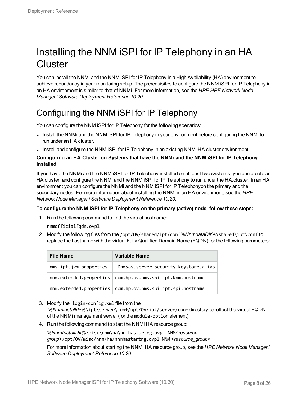## <span id="page-7-0"></span>Installing the NNM iSPI for IP Telephony in an HA **Cluster**

You can install the NNMi and the NNM iSPI for IP Telephony in a High Availability (HA) environment to achieve redundancy in your monitoring setup. The prerequisites to configure the NNM iSPI for IP Telephony in an HA environment is similar to that of NNMi. For more information, see the *HPE HPE Network Node Manager i Software Deployment Reference 10.20*.

### <span id="page-7-1"></span>Configuring the NNM iSPI for IP Telephony

You can configure the NNM iSPI for IP Telephony for the following scenarios:

- Install the NNMi and the NNM iSPI for IP Telephony in your environment before configuring the NNMi to run under an HA cluster.
- Install and configure the NNM iSPI for IP Telephony in an existing NNMi HA cluster environment.

#### **Configuring an HA Cluster on Systems that have the NNMi and the NNM iSPI for IP Telephony Installed**

If you have the NNMi and the NNM iSPI for IP Telephony installed on at least two systems, you can create an HA cluster, and configure the NNMi and the NNM iSPI for IP Telephony to run under the HA.cluster. In an HA environment you can configure the NNMi and the NNM iSPI for IP Telephonyon the primary and the secondary nodes. For more information about installing the NNMi in an HA environment, see the *HPE Network Node Manager i Software Deployment Reference 10.20*.

#### **To configure the NNM iSPI for IP Telephony on the primary (active) node, follow these steps:**

1. Run the following command to find the virtual hostname:

nnmofficialfqdn.ovpl

2. Modify the following files from the /opt/OV/shared/ipt/conf*%NnmdataDir%*\shared\ipt\conf to replace the hostname with the virtual Fully Qualified Domain Name (FQDN) for the following parameters:

| <b>File Name</b>       | Variable Name                                                |
|------------------------|--------------------------------------------------------------|
| nms-ipt.jvm.properties | -Dnmsas.server.security.keystore.alias                       |
|                        | nnm.extended.properties   com.hp.ov.nms.spi.ipt.Nnm.hostname |
|                        | nnm.extended.properties   com.hp.ov.nms.spi.ipt.spi.hostname |

- 3. Modify the login-config.xml file from the *%Nnminstalldir%*\ipt\server\conf/opt/OV/ipt/server/conf directory to reflect the virtual FQDN of the NNMi management server (for the module-option element).
- 4. Run the following command to start the NNMi HA resource group:

*%NnmInstallDir%*\misc\nnm\ha\nnmhastartrg.ovpl NNM<*resource\_*

*group*>/opt/OV/misc/nnm/ha/nnmhastartrg.ovpl NNM <*resource\_group*>

For more information about starting the NNMi HA resource group, see the *HPE Network Node Manager i Software Deployment Reference 10.20*.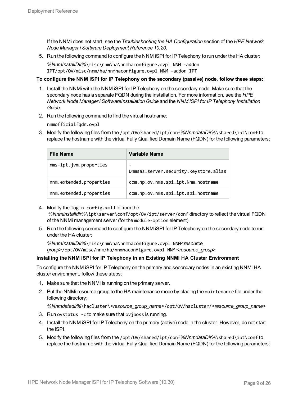If the NNMi does not start, see the *Troubleshooting the HA Configuration* section of the *HPE Network Node Manager i Software Deployment Reference 10.20*.

5. Run the following command to configure the NNM iSPI for IP Telephony to run under the HA cluster: *%NnmInstallDir%*\misc\nnm\ha\nnmhaconfigure.ovpl NNM -addon IPT/opt/OV/misc/nnm/ha/nnmhaconfigure.ovpl NNM -addon IPT

#### **To configure the NNM iSPI for IP Telephony on the secondary (passive) node, follow these steps:**

- 1. Install the NNMi with the NNM iSPI for IP Telephony on the secondary node. Make sure that the secondary node has a separate FQDN during the installation. For more information, see the *HPE Network Node Manager i SoftwareInstallation Guide* and the *NNM iSPI for IP Telephony Installation Guide*.
- 2. Run the following command to find the virtual hostname:

nnmofficialfqdn.ovpl

3. Modify the following files from the /opt/OV/shared/ipt/conf*%NnmdataDir%*\shared\ipt\conf to replace the hostname with the virtual Fully Qualified Domain Name (FQDN) for the following parameters:

| <b>File Name</b>        | Variable Name                         |
|-------------------------|---------------------------------------|
| nms-ipt.jvm.properties  | Dnmsas.server.security.keystore.alias |
| nnm.extended.properties | com.hp.ov.nms.spi.ipt.Nnm.hostname    |
| nnm.extended.properties | com.hp.ov.nms.spi.ipt.spi.hostname    |

- 4. Modify the login-config.xml file from the *%Nnminstalldir%*\ipt\server\conf/opt/OV/ipt/server/conf directory to reflect the virtual FQDN of the NNMi management server (for the module-option element).
- 5. Run the following command to configure the NNM iSPI for IP Telephony on the secondary node to run under the HA cluster:

*%NnmInstallDir%*\misc\nnm\ha\nnmhaconfigure.ovpl NNM<*resource\_ group*>/opt/OV/misc/nnm/ha/nnmhaconfigure.ovpl NNM <*resource\_group*>

#### **Installing the NNM iSPI for IP Telephony in an Existing NNMi HA Cluster Environment**

To configure the NNM iSPI for IP Telephony on the primary and secondary nodes in an existing NNMi HA cluster environment, follow these steps:

- <span id="page-8-0"></span>1. Make sure that the NNMi is running on the primary server.
- 2. Put the NNMi resource group to the HA maintenance mode by placing the maintenance file under the following directory:

*%Nnmdatadir%*\hacluster\*<resource\_group\_name>*/opt/OV/hacluster/*<resource\_group\_name>*

- 3. Run ovstatus -c to make sure that ovjboss is running.
- 4. Install the NNM iSPI for IP Telephony on the primary (active) node in the cluster. However, do not start the iSPI.
- 5. Modify the following files from the /opt/OV/shared/ipt/conf*%NnmdataDir%*\shared\ipt\conf to replace the hostname with the virtual Fully Qualified Domain Name (FQDN) for the following parameters: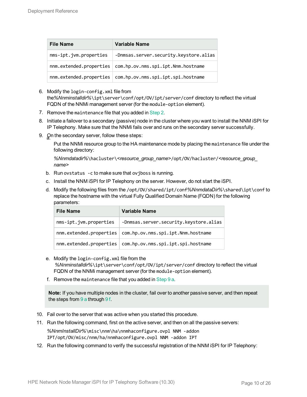| <b>File Name</b>        | Variable Name                                                |
|-------------------------|--------------------------------------------------------------|
| nms-ipt.jvm.properties  | -Dnmsas.server.security.keystore.alias                       |
|                         | nnm.extended.properties   com.hp.ov.nms.spi.ipt.Nnm.hostname |
| nnm.extended.properties | com.hp.ov.nms.spi.ipt.spi.hostname                           |

- 6. Modify the login-config.xml file from the*%Nnminstalldir%*\ipt\server\conf/opt/OV/ipt/server/conf directory to reflect the virtual
- FQDN of the NNMi management server (for the module-option element).
- 7. Remove the maintenance file that you added in [Step](#page-8-0) 2.
- 8. Initiate a failover to a secondary (passive) node in the cluster where you want to install the NNM iSPI for IP Telephony. Make sure that the NNMi fails over and runs on the secondary server successfully.
- 9. Qn the secondary server, follow these steps:

<span id="page-9-0"></span>Put the NNMi resource group to the HA maintenance mode by placing the maintenance file under the following directory:

*%Nnmdatadir%*\hacluster\*<resource\_group\_name>*/opt/OV/hacluster/*<resource\_group\_ name>*

- b. Run ovstatus -c to make sure that ovjboss is running.
- c. Install the NNM iSPI for IP Telephony on the server. However, do not start the iSPI.
- d. Modify the following files from the /opt/OV/shared/ipt/conf*%NnmdataDir%*\shared\ipt\conf to replace the hostname with the virtual Fully Qualified Domain Name (FQDN) for the following parameters:

| <b>File Name</b>        | Variable Name                          |
|-------------------------|----------------------------------------|
| nms-ipt.jvm.properties  | -Dnmsas.server.security.keystore.alias |
| nnm.extended.properties | com.hp.ov.nms.spi.ipt.Nnm.hostname     |
| nnm.extended.properties | com.hp.ov.nms.spi.ipt.spi.hostname     |

- e. Modify the login-config.xml file from the *%Nnminstalldir%*\ipt\server\conf/opt/OV/ipt/server/conf directory to reflect the virtual FQDN of the NNMi management server (for the module-option element).
- <span id="page-9-1"></span>f. Remove the maintenance file that you added in [Step](#page-9-0) 9 a.

**Note:** If you have multiple nodes in the cluster, fail over to another passive server, and then repeat the steps from [9](#page-9-0) a through [9](#page-9-1) f.

- 10. Fail over to the server that was active when you started this procedure.
- 11. Run the following command, first on the active server, and then on all the passive servers: *%NnmInstallDir%*\misc\nnm\ha\nnmhaconfigure.ovpl NNM -addon IPT/opt/OV/misc/nnm/ha/nnmhaconfigure.ovpl NNM -addon IPT
- 12. Run the following command to verify the successful registration of the NNM iSPI for IP Telephony: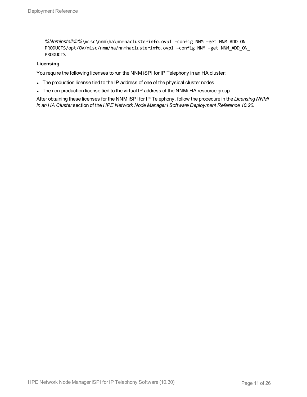```
%Nnminstalldir%\misc\nnm\ha\nnmhaclusterinfo.ovpl –config NNM –get NNM_ADD_ON_
PRODUCTS/opt/OV/misc/nnm/ha/nnmhaclusterinfo.ovpl –config NNM –get NNM_ADD_ON_
PRODUCTS
```
#### **Licensing**

You require the following licenses to run the NNM iSPI for IP Telephony in an HA cluster:

- The production license tied to the IP address of one of the physical cluster nodes
- The non-production license tied to the virtual IP address of the NNMi HA resource group

After obtaining these licenses for the NNM iSPI for IP Telephony, follow the procedure in the *Licensing NNMi in an HA Cluster* section of the *HPE Network Node Manager i Software Deployment Reference 10.20*.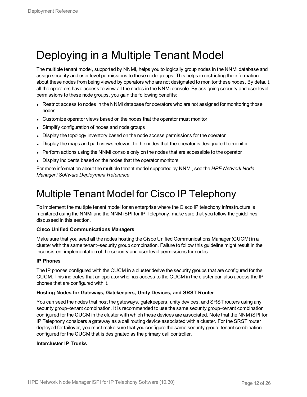## <span id="page-11-0"></span>Deploying in a Multiple Tenant Model

The multiple tenant model, supported by NNMi, helps you to logically group nodes in the NNMi database and assign security and user level permissions to these node groups. This helps in restricting the information about these nodes from being viewed by operators who are not designated to monitor these nodes. By default, all the operators have access to view all the nodes in the NNMi console. By assigning security and user level permissions to these node groups, you gain the following benefits:

- Restrict access to nodes in the NNMi database for operators who are not assigned for monitoring those nodes
- Customize operator views based on the nodes that the operator must monitor
- Simplify configuration of nodes and node groups
- Display the topology inventory based on the node access permissions for the operator
- Display the maps and path views relevant to the nodes that the operator is designated to monitor
- Perform actions using the NNMI console only on the nodes that are accessible to the operator
- Display incidents based on the nodes that the operator monitors

<span id="page-11-1"></span>For more information about the multiple tenant model supported by NNMi, see the *HPE Network Node Manager i Software Deployment Reference*.

## Multiple Tenant Model for Cisco IP Telephony

To implement the multiple tenant model for an enterprise where the Cisco IP telephony infrastructure is monitored using the NNMi and the NNM iSPI for IP Telephony, make sure that you follow the guidelines discussed in this section.

#### **Cisco Unified Communications Managers**

Make sure that you seed all the nodes hosting the Cisco Unified Communications Manager (CUCM) in a cluster with the same tenant–security group combination. Failure to follow this guideline might result in the inconsistent implementation of the security and user level permissions for nodes.

#### **IP Phones**

The IP phones configured with the CUCM in a cluster derive the security groups that are configured for the CUCM. This indicates that an operator who has access to the CUCM in the cluster can also access the IP phones that are configured with it.

#### **Hosting Nodes for Gateways, Gatekeepers, Unity Devices, and SRST Router**

You can seed the nodes that host the gateways, gatekeepers, unity devices, and SRST routers using any security group–tenant combination. It is recommended to use the same security group–tenant combination configured for the CUCM in the cluster with which these devices are associated. Note that the NNM iSPI for IP Telephony considers a gateway as a call routing device associated with a cluster. For the SRST router deployed for failover, you must make sure that you configure the same security group–tenant combination configured for the CUCM that is designated as the primary call controller.

#### **Intercluster IP Trunks**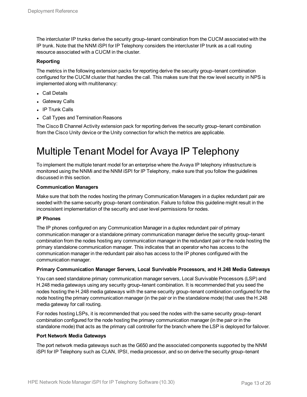The intercluster IP trunks derive the security group–tenant combination from the CUCM associated with the IP trunk. Note that the NNM iSPI for IP Telephony considers the intercluster IP trunk as a call routing resource associated with a CUCM in the cluster.

#### **Reporting**

The metrics in the following extension packs for reporting derive the security group–tenant combination configured for the CUCM cluster that handles the call. This makes sure that the row level security in NPS is implemented along with multitenancy:

- Call Details
- Gateway Calls
- IP Trunk Calls
- Call Types and Termination Reasons

<span id="page-12-0"></span>The Cisco B Channel Activity extension pack for reporting derives the security group–tenant combination from the Cisco Unity device or the Unity connection for which the metrics are applicable.

## Multiple Tenant Model for Avaya IP Telephony

To implement the multiple tenant model for an enterprise where the Avaya IP telephony infrastructure is monitored using the NNMi and the NNM iSPI for IP Telephony, make sure that you follow the guidelines discussed in this section.

#### **Communication Managers**

Make sure that both the nodes hosting the primary Communication Managers in a duplex redundant pair are seeded with the same security group–tenant combination. Failure to follow this guideline might result in the inconsistent implementation of the security and user level permissions for nodes.

#### **IP Phones**

The IP phones configured on any Communication Manager in a duplex redundant pair of primary communication manager or a standalone primary communication manager derive the security group–tenant combination from the nodes hosting any communication manager in the redundant pair or the node hosting the primary standalone communication manager. This indicates that an operator who has access to the communication manager in the redundant pair also has access to the IP phones configured with the communication manager.

#### **Primary Communication Manager Servers, Local Survivable Processors, and H.248 Media Gateways**

You can seed standalone primary communication manager servers, Local Survivable Processors (LSP) and H.248 media gateways using any security group–tenant combination. It is recommended that you seed the nodes hosting the H.248 media gateways with the same security group–tenant combination configured for the node hosting the primary communication manager (in the pair or in the standalone mode) that uses the H.248 media gateway for call routing.

For nodes hosting LSPs, it is recommended that you seed the nodes with the same security group–tenant combination configured for the node hosting the primary communication manager (in the pair or in the standalone mode) that acts as the primary call controller for the branch where the LSP is deployed for failover.

#### **Port Network Media Gateways**

The port network media gateways such as the G650 and the associated components supported by the NNM iSPI for IP Telephony such as CLAN, IPSI, media processor, and so on derive the security group–tenant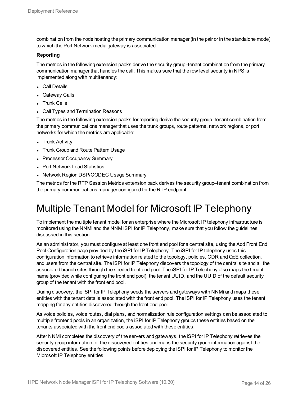combination from the node hosting the primary communication manager (in the pair or in the standalone mode) to which the Port Network media gateway is associated.

#### **Reporting**

The metrics in the following extension packs derive the security group–tenant combination from the primary communication manager that handles the call. This makes sure that the row level security in NPS is implemented along with multitenancy:

- **Call Details**
- Gateway Calls
- Trunk Calls
- Call Types and Termination Reasons

The metrics in the following extension packs for reporting derive the security group–tenant combination from the primary communications manager that uses the trunk groups, route patterns, network regions, or port networks for which the metrics are applicable:

- Trunk Activity
- Trunk Group and Route Pattern Usage
- Processor Occupancy Summary
- Port Network Load Statistics
- Network Region DSP/CODEC Usage Summary

<span id="page-13-0"></span>The metrics for the RTP Session Metrics extension pack derives the security group–tenant combination from the primary communications manager configured for the RTP endpoint.

### Multiple Tenant Model for Microsoft IP Telephony

To implement the multiple tenant model for an enterprise where the Microsoft IP telephony infrastructure is monitored using the NNMi and the NNM iSPI for IP Telephony, make sure that you follow the guidelines discussed in this section.

As an administrator, you must configure at least one front end pool for a central site, using the Add Front End Pool Configuration page provided by the iSPI for IP Telephony. The iSPI for IP telephony uses this configuration information to retrieve information related to the topology, policies, CDR and QoE collection, and users from the central site. The iSPI for IP Telephony discovers the topology of the central site and all the associated branch sites through the seeded front end pool. The iSPI for IP Telephony also maps the tenant name (provided while configuring the front end pool), the tenant UUID, and the UUID of the default security group of the tenant with the front end pool.

During discovery, the iSPI for IP Telephony seeds the servers and gateways with NNMi and maps these entities with the tenant details associated with the front end pool. The iSPI for IP Telephony uses the tenant mapping for any entities discovered through the front end pool.

As voice policies, voice routes, dial plans, and normalization rule configuration settings can be associated to multiple frontend pools in an organization, the iSPI for IP Telephony groups these entities based on the tenants associated with the front end pools associated with these entities.

After NNMi completes the discovery of the servers and gateways, the iSPI for IP Telephony retrieves the security group information for the discovered entities and maps the security group information against the discovered entities. See the following points before deploying the iSPI for IP Telephony to monitor the Microsoft IP Telephony entities: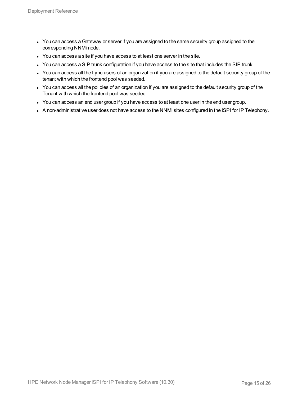- You can access a Gateway or server if you are assigned to the same security group assigned to the corresponding NNMi node.
- You can access a site if you have access to at least one server in the site.
- You can access a SIP trunk configuration if you have access to the site that includes the SIP trunk.
- You can access all the Lync users of an organization if you are assigned to the default security group of the tenant with which the frontend pool was seeded.
- You can access all the policies of an organization if you are assigned to the default security group of the Tenant with which the frontend pool was seeded.
- You can access an end user group if you have access to at least one user in the end user group.
- A non-administrative user does not have access to the NNMi sites configured in the iSPI for IP Telephony.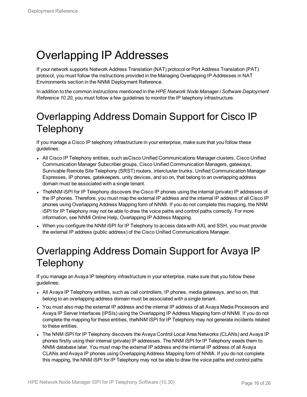## <span id="page-15-0"></span>Overlapping IP Addresses

If your network supports Network Address Translation (NAT) protocol or Port Address Translation (PAT) protocol, you must follow the instructions provided in the Managing Overlapping IP Addresses in NAT Environments section in the NNMi Deployment Reference.

<span id="page-15-1"></span>In addition to the common instructions mentioned in the *HPE Network Node Manager i Software Deployment Reference 10.20*, you must follow a few guidelines to monitor the IP telephony infrastructure.

## Overlapping Address Domain Support for Cisco IP **Telephony**

If you manage a Cisco IP telephony infrastructure in your enterprise, make sure that you follow these guidelines:

- All Cisco IP Telephony entities, such asCisco Unified Communications Manager clusters, Cisco Unified Communication Manager Subscriber groups, Cisco Unified Communication Managers, gateways, Survivable Remote Site Telephony (SRST) routers, intercluster trunks, Unified Communication Manager Expresses, IP phones, gatekeepers, unity devices, and so on, that belong to an overlapping address domain must be associated with a single tenant.
- TheNNM ISPI for IP Telephony discovers the Cisco IP phones using the internal (private) IP addresses of the IP phones. Therefore, you must map the external IP address and the internal IP address of all Cisco IP phones using Overlapping Address Mapping form of NNMi. If you do not complete this mapping, the NNM iSPI for IP Telephony may not be able to draw the voice paths and control paths correctly. For more information, see NNMi Online Help, Overlapping IP Address Mapping.
- <span id="page-15-2"></span>• When you configure the NNM iSPI for IP Telephony to access data with AXL and SSH, you must provide the external IP address (public address) of the Cisco Unified Communications Manager.

## Overlapping Address Domain Support for Avaya IP **Telephony**

If you manage an Avaya IP telephony infrastructure in your enterprise, make sure that you follow these guidelines:

- All Avaya IP Telephony entities, such as call controllers, IP phones, media gateways, and so on, that belong to an overlapping address domain must be associated with a single tenant.
- You must also map the external IP address and the internal IP address of all Avaya Media Processors and Avaya IP Server Interfaces (IPSIs) using the Overlapping IP Address Mapping form of NNMi. If you do not complete the mapping for these entities, theNNM iSPI for IP Telephony may not generate incidents related to these entities.
- The NNM iSPI for IP Telephony discovers the Avaya Control Local Area Networks (CLANs) and Avaya IP phones firstly using their internal (private) IP addresses. The NNM iSPI for IP Telephony seeds them to NNMi database later. You must map the external IP address and the internal IP address of all Avaya CLANs and Avaya IP phones using Overlapping Address Mapping form of NNMi. If you do not complete this mapping, the NNM iSPI for IP Telephony may not be able to draw the voice paths and control paths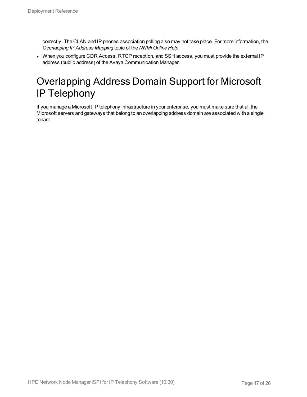correctly. The CLAN and IP phones association polling also may not take place. For more information, the *Overlapping IP Address Mapping* topic of the *NNMi Online Help*.

<span id="page-16-0"></span>• When you configure CDR Access, RTCP reception, and SSH access, you must provide the external IP address (public address) of the Avaya Communication Manager.

## Overlapping Address Domain Support for Microsoft IP Telephony

If you manage a Microsoft IP telephony infrastructure in your enterprise, you must make sure that all the Microsoft servers and gateways that belong to an overlapping address domain are associated with a single tenant.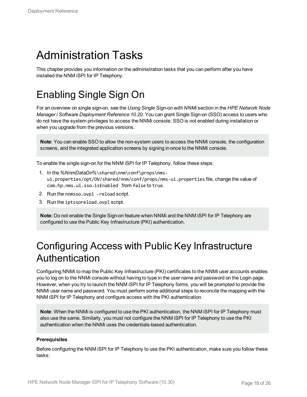## <span id="page-17-0"></span>Administration Tasks

<span id="page-17-1"></span>This chapter provides you information on the administration tasks that you can perform after you have installed the NNM iSPI for IP Telephony.

## Enabling Single Sign On

For an overview on single sign-on, see the *Using Single Sign-on with NNMi* section in the *HPE Network Node Manager i Software Deployment Reference 10.20*. You can grant Single Sign-on (SSO) access to users who do not have the system privileges to access the NNMi console. SSO is not enabled during installation or when you upgrade from the previous versions.

**Note**: You can enable SSO to allow the non-system users to access the NNMi console, the configuration screens, and the integrated application screens by signing in once to the NNMi console.

To enable the single sign-on for the NNM iSPI for IP Telephony, follow these steps:

- 1. In the *%NnmDataDir%*\shared\nnm\conf\props\nmsui.properties/opt/OV/shared/nnm/conf/props/nms-ui.properties file, change the value of com.hp.nms.ui.sso.isEnabled from false to true.
- 2. Run the nnmsso.ovpl -reload script.
- 3. Run the iptssoreload.ovpl script.

**Note:** Do not enable the Single Sign-on feature when NNMi and the NNM iSPI for IP Telephony are configured to use the Public Key Infrastructure (PKI) authentication.

## <span id="page-17-2"></span>Configuring Access with Public Key Infrastructure Authentication

Configuring NNMi to map the Public Key Infrastructure (PKI) certificates to the NNMi user accounts enables you to log on to the NNMi console without having to type in the user name and password on the Login page. However, when you try to launch the NNM iSPI for IP Telephony forms, you will be prompted to provide the NNMi user name and password. You must perform some additional steps to reconcile the mapping with the NNM iSPI for IP Telephony and configure access with the PKI authentication.

**Note**: When the NNMi is configured to use the PKI authentication, the NNM iSPI for IP Telephony must also use the same. Similarly, you must not configure the NNM iSPI for IP Telephony to use the PKI authentication when the NNMi uses the credentials-based authentication.

#### **Prerequisites**

Before configuring the NNM iSPI for IP Telephony to use the PKI authentication, make sure you follow these tasks: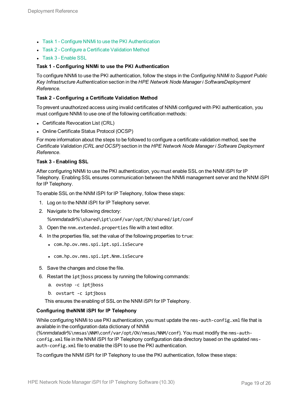- Task 1 Configure NNMi to use the PKI [Authentication](#page-18-0)
- Task 2 Configure a [Certificate](#page-18-1) Validation Method
- <span id="page-18-0"></span>• Task 3 - [Enable](#page-18-2) SSL

#### **Task 1 - Configuring NNMi to use the PKI Authentication**

To configure NNMi to use the PKI authentication, follow the steps in the *Configuring NNMi to Support Public Key Infrastructure Authentication* section in the *HPE Network Node Manager i SoftwareDeployment Reference*.

#### <span id="page-18-1"></span>**Task 2 - Configuring a Certificate Validation Method**

To prevent unauthorized access using invalid certificates of NNMi configured with PKI authentication, you must configure NNMi to use one of the following certification methods:

- Certificate Revocation List (CRL)
- Online Certificate Status Protocol (OCSP)

For more information about the steps to be followed to configure a certificate validation method, see the *Certificate Validation (CRL and OCSP)* section in the *HPE Network Node Manager i Software Deployment Reference*.

#### <span id="page-18-2"></span>**Task 3 - Enabling SSL**

After configuring NNMi to use the PKI authentication, you must enable SSL on the NNM iSPI for IP Telephony. Enabling SSL ensures communication between the NNMi management server and the NNM iSPI for IP Telephony.

To enable SSL on the NNM iSPI for IP Telephony, follow these steps:

- 1. Log on to the NNM iSPI for IP Telephony server.
- 2. Navigate to the following directory:

*%nnmdatadir%*\shared\ipt\conf/var/opt/OV/shared/ipt/conf

- 3. Open the nnm.extended.properties file with a text editor.
- 4. In the properties file, set the value of the following properties to true:
	- com.hp.ov.nms.spi.ipt.spi.isSecure
	- com.hp.ov.nms.spi.ipt.Nnm.isSecure
- 5. Save the changes and close the file.
- 6. Restart the iptjboss process by running the following commands:
	- a. ovstop -c iptjboss
	- b. ovstart -c iptjboss

This ensures the enabling of SSL on the NNM iSPI for IP Telephony.

#### **Configuring theNNM iSPI for IP Telephony**

While configuring NNMi to use PKI authentication, you must update the nms-auth-config.xml file that is available in the configuration data dictionary of NNMi

(*%nnmdatadir%*\nmsas\NNM\conf/var/opt/OV/nmsas/NNM/conf). You must modify the nms-authconfig.xml file in the NNM iSPI for IP Telephony configuration data directory based on the updated nmsauth-config.xml file to enable the iSPI to use the PKI authentication.

To configure the NNM iSPI for IP Telephony to use the PKI authentication, follow these steps: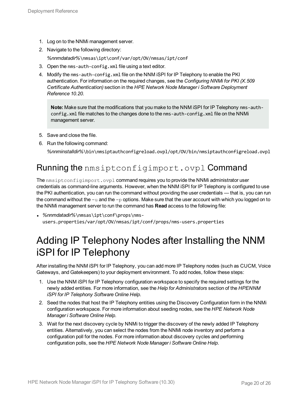- 1. Log on to the NNMi management server.
- 2. Navigate to the following directory:

*%nnmdatadir%*\nmsas\ipt\conf/var/opt/OV/nmsas/ipt/conf

- 3. Open the nms-auth-config.xml file using a text editor.
- 4. Modify the nms-auth-config.xml file on the NNM iSPI for IP Telephony to enable the PKI authentication. For information on the required changes, see the *Configuring NNMi for PKI (X.509 Certificate Authentication)* section in the *HPE Network Node Manager i Software Deployment Reference 10.20*.

**Note:** Make sure that the modifications that you make to the NNM iSPI for IP Telephony nms-authconfig.xml file matches to the changes done to the nms-auth-config.xml file on the NNMi management server.

- 5. Save and close the file.
- 6. Run the following command:

*%nnminstalldir%*\bin\nmsiptauthconfigreload.ovpl/opt/OV/bin/nmsiptauthconfigreload.ovpl

### <span id="page-19-0"></span>Running the nmsiptconfigimport.ovpl Command

The nmsiptconfigimport.ovpl command requires you to provide the NNMi administrator user credentials as command-line arguments. However, when the NNM iSPI for IP Telephony is configured to use the PKI authentication, you can run the command without providing the user credentials — that is, you can run the command without the  $-\nu$  and the  $-\nu$  options. Make sure that the user account with which you logged on to the NNMi management server to run the command has **Read** access to the following file:

## Adding IP Telephony Nodes after Installing the NNM iSPI for IP Telephony

After installing the NNM iSPI for IP Telephony, you can add more IP Telephony nodes (such as CUCM, Voice Gateways, and Gatekeepers) to your deployment environment. To add nodes, follow these steps:

- 1. Use the NNM iSPI for IP Telephony configuration workspace to specify the required settings for the newly added entities. For more information, see the *Help for Administrators* section of the *HPENNM iSPI for IP Telephony Software Online Help*.
- 2. Seed the nodes that host the IP Telephony entities using the Discovery Configuration form in the NNMi configuration workspace. For more information about seeding nodes, see the *HPE Network Node Manager i Software Online Help*.
- 3. Wait for the next discovery cycle by NNMi to trigger the discovery of the newly added IP Telephony entities. Alternatively, you can select the nodes from the NNMi node inventory and perform a configuration poll for the nodes. For more information about discovery cycles and performing configuration polls, see the *HPE Network Node Manager i Software Online Help*.

<span id="page-19-1"></span><sup>l</sup> *%nnmdatadir%*\nmsas\ipt\conf\props\nmsusers.properties/var/opt/OV/nmsas/ipt/conf/props/nms-users.properties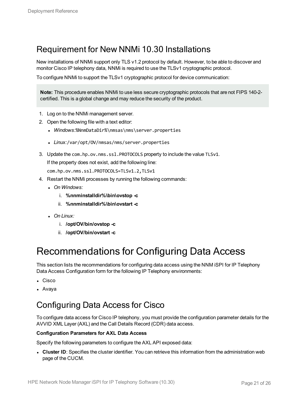### <span id="page-20-0"></span>Requirement for New NNMi 10.30 Installations

New installations of NNMi support only TLS v1.2 protocol by default. However, to be able to discover and monitor Cisco IP telephony data, NNMi is required to use the TLSv1 cryptographic protocol.

To configure NNMi to support the TLSv1 cryptographic protocol for device communication:

**Note:** This procedure enables NNMi to use less secure cryptographic protocols that are not FIPS 140-2 certified. This is a global change and may reduce the security of the product.

- 1. Log on to the NNMi management server.
- 2. Open the following file with a text editor:
	- Windows:%NnmDataDir%\nmsas\nms\server.properties
	- Linux:/var/opt/OV/nmsas/nms/server.properties
- 3. Update the com.hp.ov.nms.ssl.PROTOCOLS property to include the value TLSv1. If the property does not exist, add the following line: com.hp.ov.nms.ssl.PROTOCOLS=TLSv1.2,TLSv1
- 4. Restart the NNMi processes by running the following commands:
	- <sup>l</sup> *On Windows:*
		- i. **%nnminstalldir%\bin\ovstop -c**
		- ii. **%nnminstalldir%\bin\ovstart -c**
	- <sup>l</sup> *On Linux:*
		- i. **/opt/OV/bin/ovstop -c**
		- ii. **/opt/OV/bin/ovstart -c**

### <span id="page-20-1"></span>Recommendations for Configuring Data Access

This section lists the recommendations for configuring data access using the NNM iSPI for IP Telephony Data Access Configuration form for the following IP Telephony environments:

- Cisco
- <span id="page-20-2"></span>• Avaya

### Configuring Data Access for Cisco

To configure data access for Cisco IP telephony, you must provide the configuration parameter details for the AVVID XML Layer (AXL) and the Call Details Record (CDR) data access.

#### **Configuration Parameters for AXL Data Access**

Specify the following parameters to configure the AXL API exposed data:

**Cluster ID**: Specifies the cluster identifier. You can retrieve this information from the administration web page of the CUCM.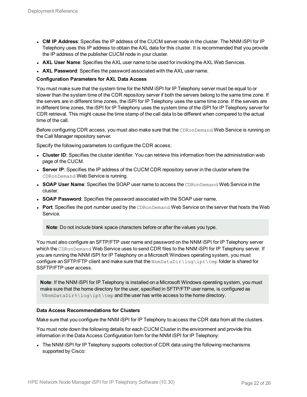- <sup>l</sup> **CM IP Address**: Specifies the IP address of the CUCM server node in the cluster. The NNM iSPI for IP Telephony uses this IP address to obtain the AXL data for this cluster. It is recommended that you provide the IP address of the publisher CUCM node in your cluster.
- **AXL User Name**: Specifies the AXL user name to be used for invoking the AXL Web Services.
- **AXL Password**: Specifies the password associated with the AXL user name.

#### **Configuration Parameters for AXL Data Access**

You must make sure that the system time for the NNM iSPI for IP Telephony server must be equal to or slower than the system time of the CDR repository server if both the servers belong to the same time zone. If the servers are in different time zones, the iSPI for IP Telephony uses the same time zone. If the servers are in different time zones, the iSPI for IP Telephony uses the system time of the iSPI for IP Telephony server for CDR retrieval. This might cause the time stamp of the call data to be different when compared to the actual time of the call.

Before configuring CDR access, you must also make sure that the CDRonDemand Web Service is running on the Call Manager repository server.

Specify the following parameters to configure the CDR access:

- **Cluster ID**: Specifies the cluster identifier. You can retrieve this information from the administration web page of the CUCM.
- **Server IP**: Specifies the IP address of the CUCM CDR repository server in the cluster where the CDRonDemand Web Service is running.
- <sup>l</sup> **SOAP User Name**: Specifies the SOAP user name to access the CDRonDemand Web Service in the cluster.
- **SOAP Password**: Specifies the password associated with the SOAP user name.
- Port: Specifies the port number used by the CDRonDemand Web Service on the server that hosts the Web Service.

**Note**: Do not include blank space characters before or after the values you type.

You must also configure an SFTP/FTP user name and password on the NNM iSPI for IP Telephony server which the CDRonDemand Web Service uses to send CDR files to the NNM iSPI for IP Telephony server. If you are running the NNM iSPI for IP Telephony on a Microsoft Windows operating system, you must configure an SFTP/FTP client and make sure that the  $NnmDataDir\log\int\$ ret $\theta$  folder is shared for SSFTP/FTP user access.

**Note**: If the NNM iSPI for IP Telephony is installed on a Microsoft Windows operating system, you must make sure that the home directory for the user, specified in SFTP/FTP user name, is configured as %NnmDataDir%\log\ipt\tmp and the user has write access to the home directory.

#### **Data Access Recommendations for Clusters**

Make sure that you configure the NNM iSPI for IP Telephony to access the CDR data from all the clusters.

You must note down the following details for each CUCM Cluster in the environment and provide this information in the Data Access Configuration form for the NNM iSPI for IP Telephony:

The NNM ISPI for IP Telephony supports collection of CDR data using the following mechanisms supported by Cisco: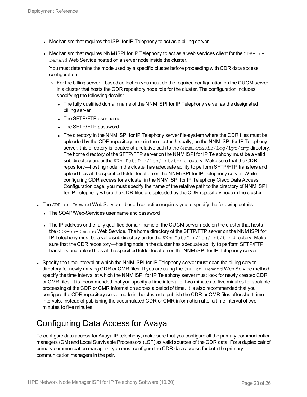- Mechanism that requires the iSPI for IP Telephony to act as a billing server.
- Mechanism that requires NNM iSPI for IP Telephony to act as a web services client for the  $CDR-on-$ Demand Web Service hosted on a server node inside the cluster.

You must determine the mode used by a specific cluster before proceeding with CDR data access configuration.

- For the billing server—based collection you must do the required configuration on the CUCM server in a cluster that hosts the CDR repository node role for the cluster. The configuration includes specifying the following details:
	- The fully qualified domain name of the NNM iSPI for IP Telephony server as the designated billing server
	- The SFTP/FTP user name
	- The SFTP/FTP password
	- The directory in the NNM iSPI for IP Telephony server file-system where the CDR files must be uploaded by the CDR repository node in the cluster: Usually, on the NNM iSPI for IP Telephony server, this directory is located at a relative path to the  $\frac{S_{\text{Nnm}}}{\text{Dat}}$   $\frac{1}{\text{C}}$  ( $\frac{1}{\text{C}}$   $\frac{1}{\text{C}}$   $\frac{1}{\text{C}}$   $\frac{1}{\text{C}}$   $\frac{1}{\text{C}}$   $\frac{1}{\text{C}}$   $\frac{1}{\text{C}}$   $\frac{1}{\text{C}}$   $\frac{1}{\text{C}}$   $\frac{1}{\text{$ The home directory of the SFTP/FTP server on the NNM iSPI for IP Telephony must be a valid sub directory under the  $\frac{2NnmDataDir/log/ipt/tmp}$  directory. Make sure that the CDR repository—hosting node in the cluster has adequate ability to perform SFTP/FTP transfers and upload files at the specified folder location on the NNM iSPI for IP Telephony server. While configuring CDR access for a cluster in the NNM iSPI for IP Telephony Cisco Data Access Configuration page, you must specify the name of the relative path to the directory of NNM iSPI for IP Telephony where the CDR files are uploaded by the CDR repository node in the cluster.
- The  $CDR-on-Demand$  Web Service—based collection requires you to specify the following details:
	- The SOAP/Web-Services user name and password
	- The IP address or the fully qualified domain name of the CUCM server node on the cluster that hosts the CDR-on-Demand Web Service. The home directory of the SFTP/FTP server on the NNM iSPI for IP Telephony must be a valid sub directory under the  $\frac{S_{N}}{N}$ DataDir/log/ipt/tmp directory. Make sure that the CDR repository—hosting node in the cluster has adequate ability to perform SFTP/FTP transfers and upload files at the specified folder location on the NNM iSPI for IP Telephony server.
- Specify the time interval at which the NNM iSPI for IP Telephony server must scan the billing server directory for newly arriving CDR or CMR files. If you are using the CDR-on-Demand Web Service method, specify the time interval at which the NNM iSPI for IP Telephony server must look for newly created CDR or CMR files. It is recommended that you specify a time interval of two minutes to five minutes for scalable processing of the CDR or CMR information across a period of time. It is also recommended that you configure the CDR repository server node in the cluster to publish the CDR or CMR files after short time intervals, instead of publishing the accumulated CDR or CMR information after a time interval of two minutes to five minutes.

### <span id="page-22-0"></span>Configuring Data Access for Avaya

To configure data access for Avaya IP telephony, make sure that you configure all the primary communication managers (CM) and Local Survivable Processors (LSP) as valid sources of the CDR data. For a duplex pair of primary communication managers, you must configure the CDR data access for both the primary communication managers in the pair.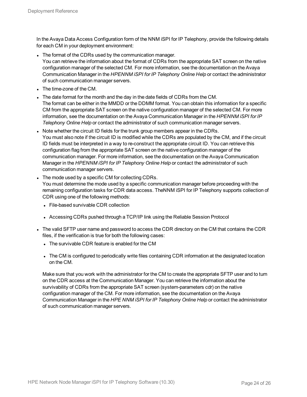In the Avaya Data Access Configuration form of the NNM iSPI for IP Telephony, provide the following details for each CM in your deployment environment:

- The format of the CDRs used by the communication manager. You can retrieve the information about the format of CDRs from the appropriate SAT screen on the native configuration manager of the selected CM. For more information, see the documentation on the Avaya Communication Manager in the *HPENNM iSPI for IP Telephony Online Help* or contact the administrator of such communication manager servers.
- The time-zone of the CM.
- The date format for the month and the day in the date fields of CDRs from the CM. The format can be either in the MMDD or the DDMM format. You can obtain this information for a specific CM from the appropriate SAT screen on the native configuration manager of the selected CM. For more information, see the documentation on the Avaya Communication Manager in the *HPENNM iSPI for IP Telephony Online Help* or contact the administrator of such communication manager servers.
- Note whether the circuit ID fields for the trunk group members appear in the CDRs. You must also note if the circuit ID is modified while the CDRs are populated by the CM, and if the circuit ID fields must be interpreted in a way to re-construct the appropriate circuit ID. You can retrieve this configuration flag from the appropriate SAT screen on the native configuration manager of the communication manager. For more information, see the documentation on the Avaya Communication Manager in the *HPENNM iSPI for IP Telephony Online Help* or contact the administrator of such communication manager servers.
- The mode used by a specific CM for collecting CDRs. You must determine the mode used by a specific communication manager before proceeding with the remaining configuration tasks for CDR data access. TheNNM iSPI for IP Telephony supports collection of CDR using one of the following methods:
	- File-based survivable CDR collection
	- Accessing CDRs pushed through a TCP/IP link using the Reliable Session Protocol
- The valid SFTP user name and password to access the CDR directory on the CM that contains the CDR files, if the verification is true for both the following cases:
	- The survivable CDR feature is enabled for the CM
	- The CM is configured to periodically write files containing CDR information at the designated location on the CM.

Make sure that you work with the administrator for the CM to create the appropriate SFTP user and to turn on the CDR access at the Communication Manager. You can retrieve the information about the survivability of CDRs from the appropriate SAT screen (system-parameters cdr) on the native configuration manager of the CM. For more information, see the documentation on the Avaya Communication Manager in the *HPE NNM iSPI for IP Telephony Online Help* or contact the administrator of such communication manager servers.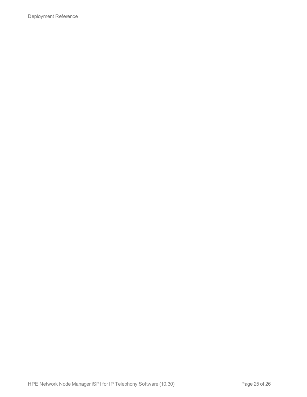Deployment Reference